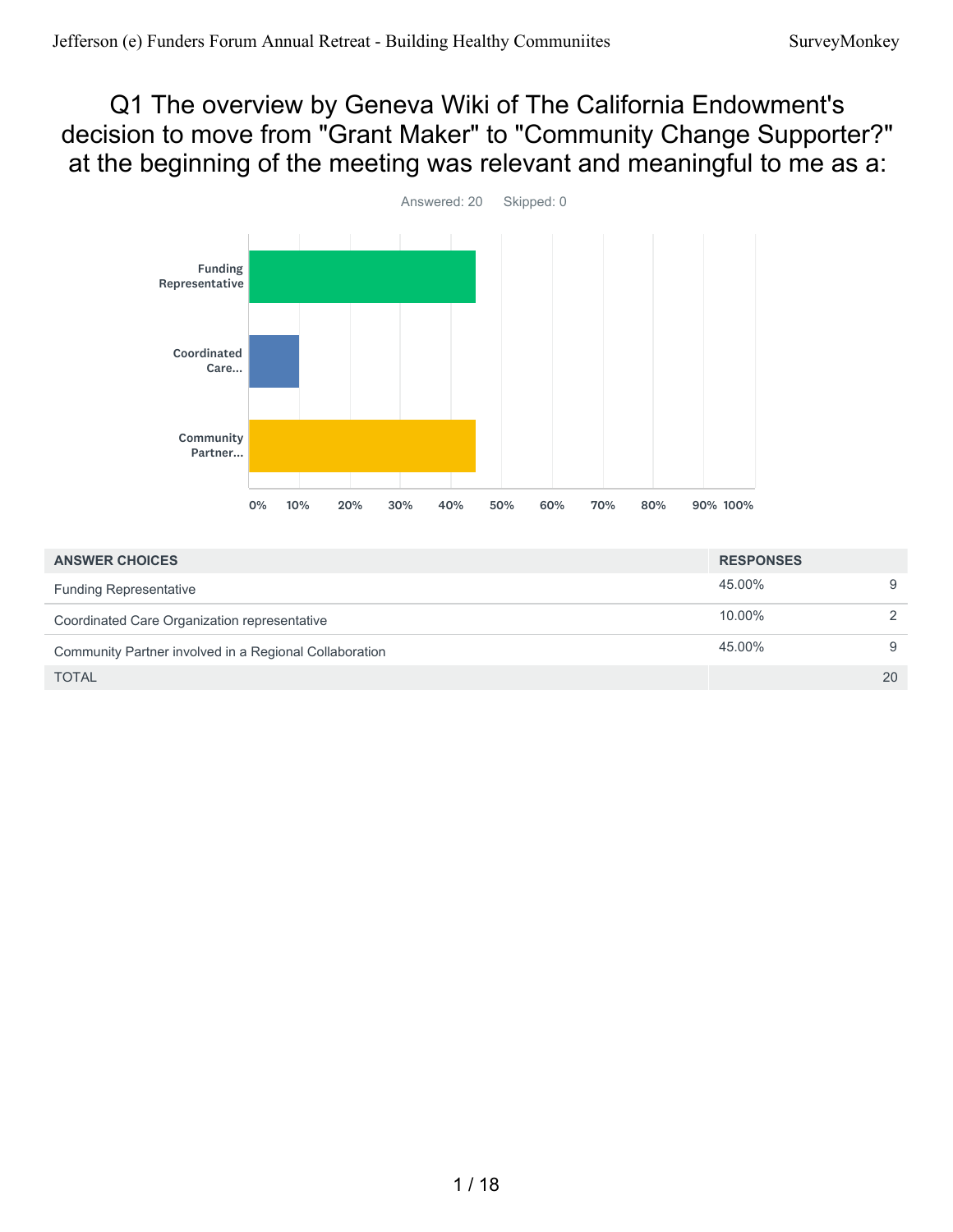#### Q1 The overview by Geneva Wiki of The California Endowment's decision to move from "Grant Maker" to "Community Change Supporter?" at the beginning of the meeting was relevant and meaningful to me as a:



| <b>ANSWER CHOICES</b>                                  | <b>RESPONSES</b> |               |
|--------------------------------------------------------|------------------|---------------|
| <b>Funding Representative</b>                          | 45.00%           | 9             |
| Coordinated Care Organization representative           | $10.00\%$        | $\mathcal{P}$ |
| Community Partner involved in a Regional Collaboration | 45.00%           | 9             |
| <b>TOTAL</b>                                           |                  | 20            |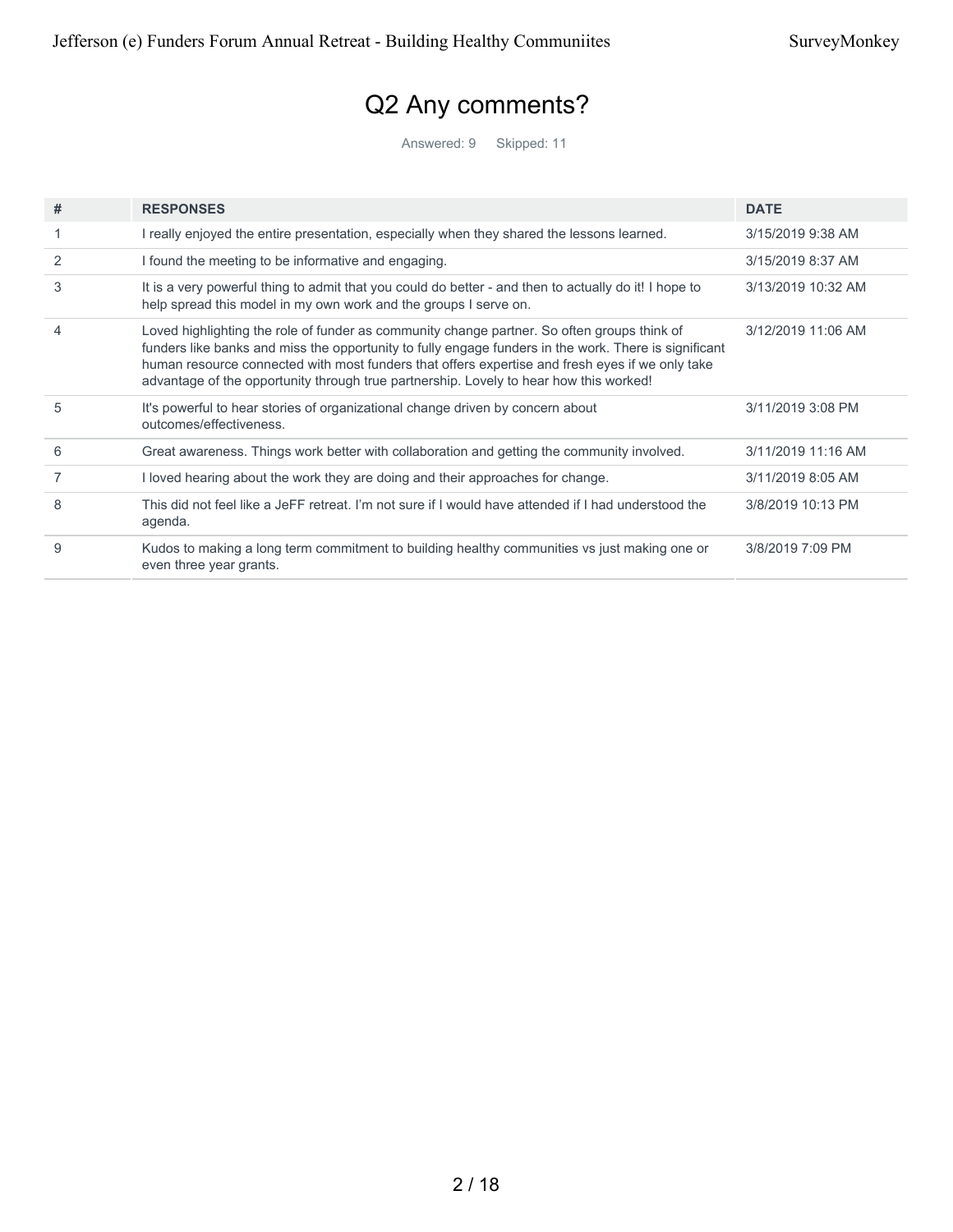# Q2 Any comments?

Answered: 9 Skipped: 11

| # | <b>RESPONSES</b>                                                                                                                                                                                                                                                                                                                                                                                  | <b>DATE</b>        |
|---|---------------------------------------------------------------------------------------------------------------------------------------------------------------------------------------------------------------------------------------------------------------------------------------------------------------------------------------------------------------------------------------------------|--------------------|
|   | I really enjoyed the entire presentation, especially when they shared the lessons learned.                                                                                                                                                                                                                                                                                                        | 3/15/2019 9:38 AM  |
| 2 | I found the meeting to be informative and engaging.                                                                                                                                                                                                                                                                                                                                               | 3/15/2019 8:37 AM  |
| 3 | It is a very powerful thing to admit that you could do better - and then to actually do it! I hope to<br>help spread this model in my own work and the groups I serve on.                                                                                                                                                                                                                         | 3/13/2019 10:32 AM |
| 4 | Loved highlighting the role of funder as community change partner. So often groups think of<br>funders like banks and miss the opportunity to fully engage funders in the work. There is significant<br>human resource connected with most funders that offers expertise and fresh eyes if we only take<br>advantage of the opportunity through true partnership. Lovely to hear how this worked! | 3/12/2019 11:06 AM |
| 5 | It's powerful to hear stories of organizational change driven by concern about<br>outcomes/effectiveness.                                                                                                                                                                                                                                                                                         | 3/11/2019 3:08 PM  |
| 6 | Great awareness. Things work better with collaboration and getting the community involved.                                                                                                                                                                                                                                                                                                        | 3/11/2019 11:16 AM |
|   | I loved hearing about the work they are doing and their approaches for change.                                                                                                                                                                                                                                                                                                                    | 3/11/2019 8:05 AM  |
| 8 | This did not feel like a JeFF retreat. I'm not sure if I would have attended if I had understood the<br>agenda.                                                                                                                                                                                                                                                                                   | 3/8/2019 10:13 PM  |
| 9 | Kudos to making a long term commitment to building healthy communities vs just making one or<br>even three year grants.                                                                                                                                                                                                                                                                           | 3/8/2019 7:09 PM   |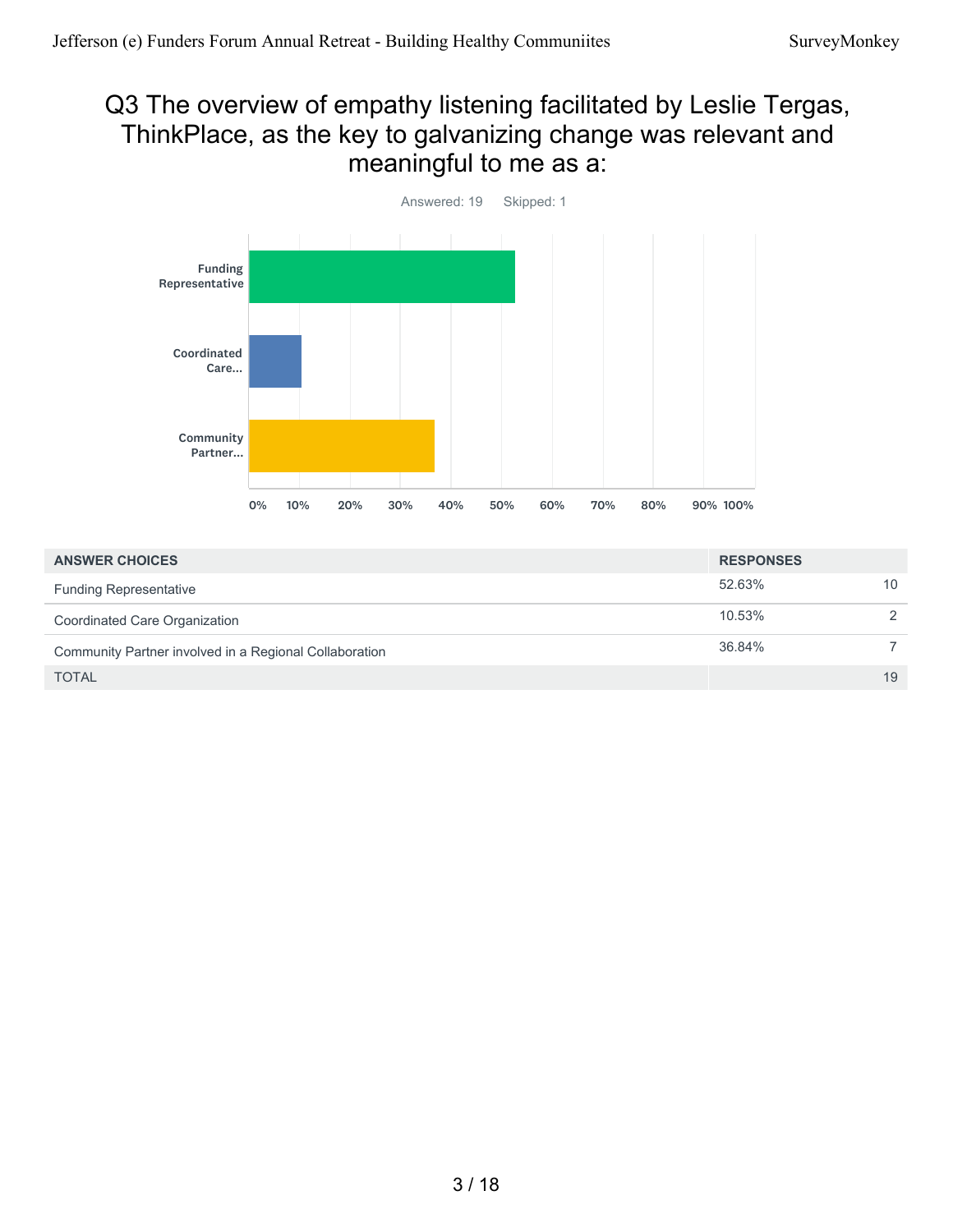#### Q3 The overview of empathy listening facilitated by Leslie Tergas, ThinkPlace, as the key to galvanizing change was relevant and meaningful to me as a:



| <b>ANSWER CHOICES</b>                                  | <b>RESPONSES</b> |                 |
|--------------------------------------------------------|------------------|-----------------|
| <b>Funding Representative</b>                          | 52.63%           | 10 <sup>°</sup> |
| Coordinated Care Organization                          | 10.53%           | $\mathcal{P}$   |
| Community Partner involved in a Regional Collaboration | 36.84%           |                 |
| <b>TOTAL</b>                                           |                  | 19              |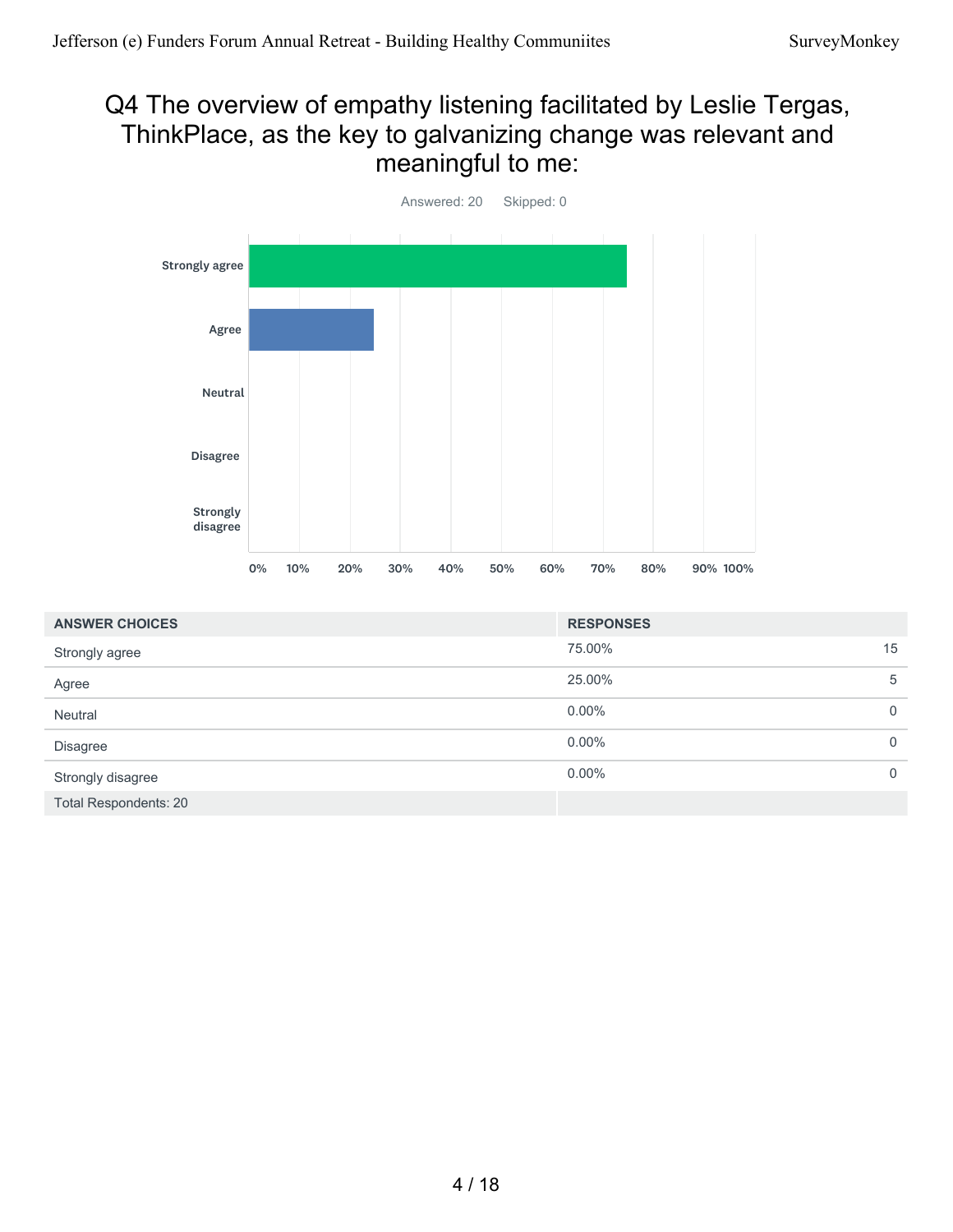#### Q4 The overview of empathy listening facilitated by Leslie Tergas, ThinkPlace, as the key to galvanizing change was relevant and meaningful to me:



| <b>ANSWER CHOICES</b>        | <b>RESPONSES</b> |                |
|------------------------------|------------------|----------------|
| Strongly agree               | 75.00%           | 15             |
| Agree                        | 25.00%           | 5              |
| Neutral                      | $0.00\%$         | $\overline{0}$ |
| <b>Disagree</b>              | $0.00\%$         | $\mathbf{0}$   |
| Strongly disagree            | $0.00\%$         | $\mathbf 0$    |
| <b>Total Respondents: 20</b> |                  |                |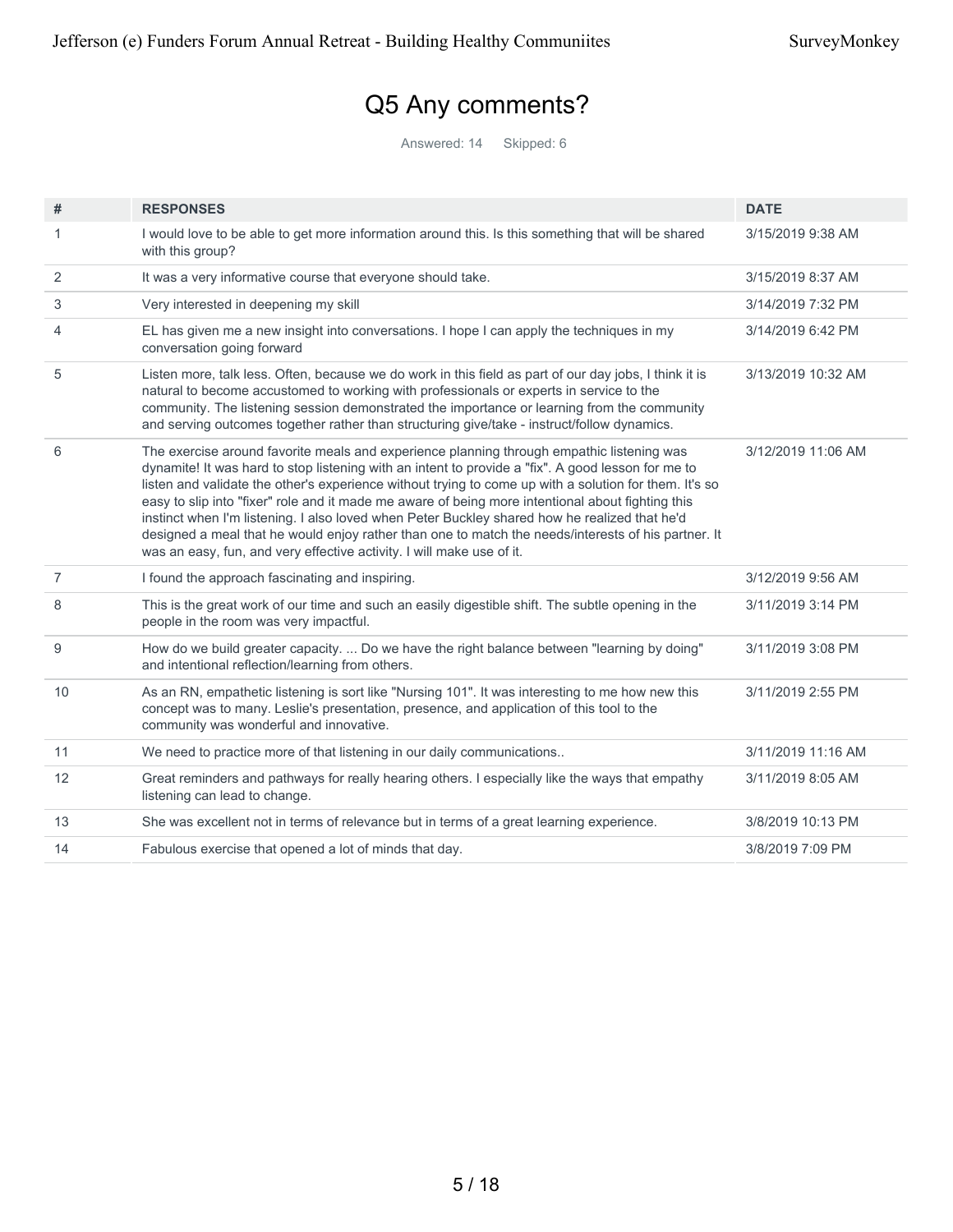# Q5 Any comments?

Answered: 14 Skipped: 6

| #              | <b>RESPONSES</b>                                                                                                                                                                                                                                                                                                                                                                                                                                                                                                                                                                                                                                                                                | <b>DATE</b>        |
|----------------|-------------------------------------------------------------------------------------------------------------------------------------------------------------------------------------------------------------------------------------------------------------------------------------------------------------------------------------------------------------------------------------------------------------------------------------------------------------------------------------------------------------------------------------------------------------------------------------------------------------------------------------------------------------------------------------------------|--------------------|
| 1              | I would love to be able to get more information around this. Is this something that will be shared                                                                                                                                                                                                                                                                                                                                                                                                                                                                                                                                                                                              | 3/15/2019 9:38 AM  |
|                | with this group?                                                                                                                                                                                                                                                                                                                                                                                                                                                                                                                                                                                                                                                                                |                    |
| 2              | It was a very informative course that everyone should take.                                                                                                                                                                                                                                                                                                                                                                                                                                                                                                                                                                                                                                     | 3/15/2019 8:37 AM  |
| 3              | Very interested in deepening my skill                                                                                                                                                                                                                                                                                                                                                                                                                                                                                                                                                                                                                                                           | 3/14/2019 7:32 PM  |
| 4              | EL has given me a new insight into conversations. I hope I can apply the techniques in my<br>conversation going forward                                                                                                                                                                                                                                                                                                                                                                                                                                                                                                                                                                         | 3/14/2019 6:42 PM  |
| 5              | Listen more, talk less. Often, because we do work in this field as part of our day jobs, I think it is<br>natural to become accustomed to working with professionals or experts in service to the<br>community. The listening session demonstrated the importance or learning from the community<br>and serving outcomes together rather than structuring give/take - instruct/follow dynamics.                                                                                                                                                                                                                                                                                                 | 3/13/2019 10:32 AM |
| 6              | The exercise around favorite meals and experience planning through empathic listening was<br>dynamite! It was hard to stop listening with an intent to provide a "fix". A good lesson for me to<br>listen and validate the other's experience without trying to come up with a solution for them. It's so<br>easy to slip into "fixer" role and it made me aware of being more intentional about fighting this<br>instinct when I'm listening. I also loved when Peter Buckley shared how he realized that he'd<br>designed a meal that he would enjoy rather than one to match the needs/interests of his partner. It<br>was an easy, fun, and very effective activity. I will make use of it. | 3/12/2019 11:06 AM |
| $\overline{7}$ | I found the approach fascinating and inspiring.                                                                                                                                                                                                                                                                                                                                                                                                                                                                                                                                                                                                                                                 | 3/12/2019 9:56 AM  |
| 8              | This is the great work of our time and such an easily digestible shift. The subtle opening in the<br>people in the room was very impactful.                                                                                                                                                                                                                                                                                                                                                                                                                                                                                                                                                     | 3/11/2019 3:14 PM  |
| 9              | How do we build greater capacity.  Do we have the right balance between "learning by doing"<br>and intentional reflection/learning from others.                                                                                                                                                                                                                                                                                                                                                                                                                                                                                                                                                 | 3/11/2019 3:08 PM  |
| 10             | As an RN, empathetic listening is sort like "Nursing 101". It was interesting to me how new this<br>concept was to many. Leslie's presentation, presence, and application of this tool to the<br>community was wonderful and innovative.                                                                                                                                                                                                                                                                                                                                                                                                                                                        | 3/11/2019 2:55 PM  |
| 11             | We need to practice more of that listening in our daily communications                                                                                                                                                                                                                                                                                                                                                                                                                                                                                                                                                                                                                          | 3/11/2019 11:16 AM |
| 12             | Great reminders and pathways for really hearing others. I especially like the ways that empathy<br>listening can lead to change.                                                                                                                                                                                                                                                                                                                                                                                                                                                                                                                                                                | 3/11/2019 8:05 AM  |
| 13             | She was excellent not in terms of relevance but in terms of a great learning experience.                                                                                                                                                                                                                                                                                                                                                                                                                                                                                                                                                                                                        | 3/8/2019 10:13 PM  |
| 14             | Fabulous exercise that opened a lot of minds that day.                                                                                                                                                                                                                                                                                                                                                                                                                                                                                                                                                                                                                                          | 3/8/2019 7:09 PM   |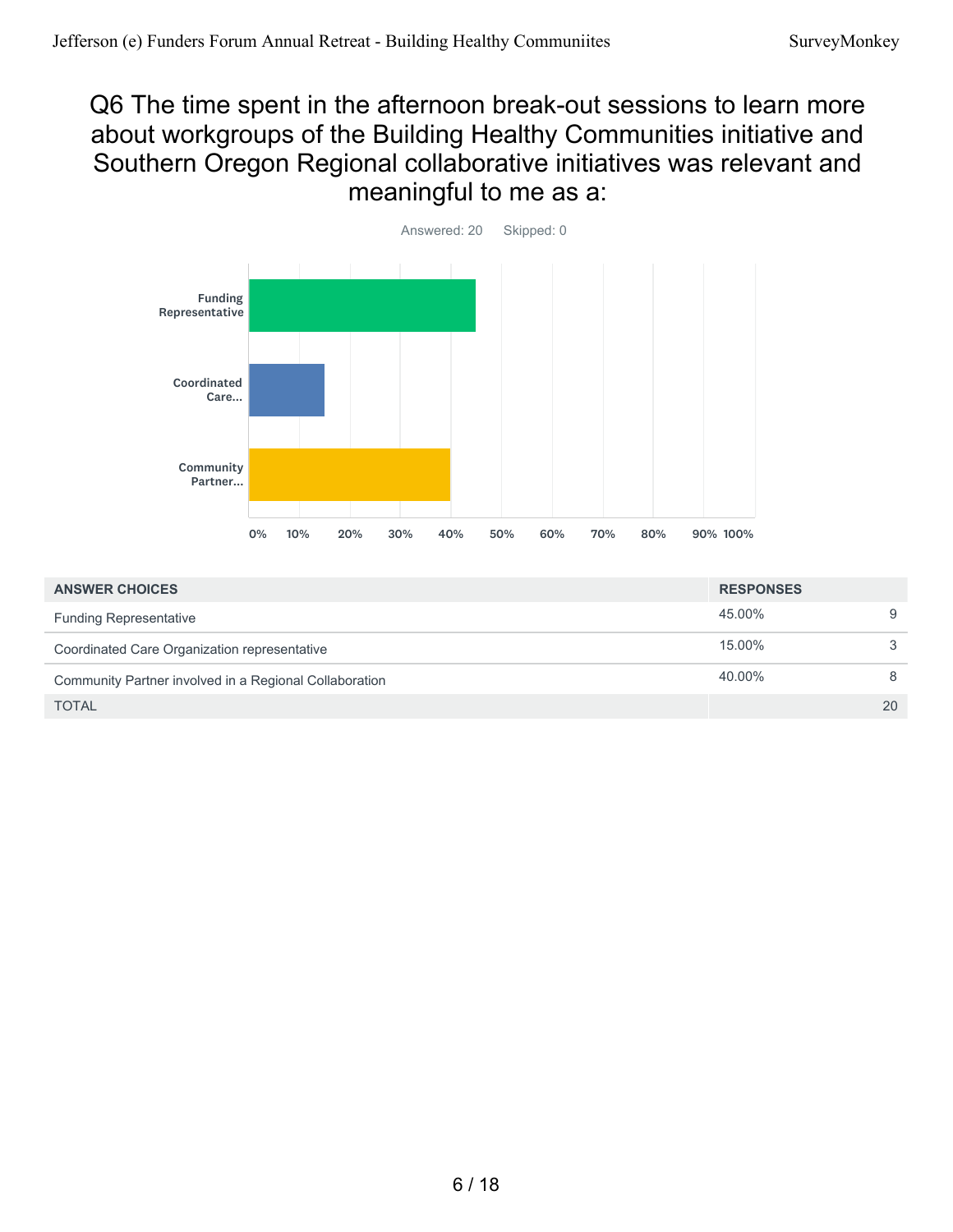#### Q6 The time spent in the afternoon break-out sessions to learn more about workgroups of the Building Healthy Communities initiative and Southern Oregon Regional collaborative initiatives was relevant and meaningful to me as a:



| <b>ANSWER CHOICES</b>                                  | <b>RESPONSES</b> |    |
|--------------------------------------------------------|------------------|----|
| <b>Funding Representative</b>                          | 45.00%           | 9  |
| Coordinated Care Organization representative           | 15.00%           | 3  |
| Community Partner involved in a Regional Collaboration | 40.00%           | 8  |
| <b>TOTAL</b>                                           |                  | 20 |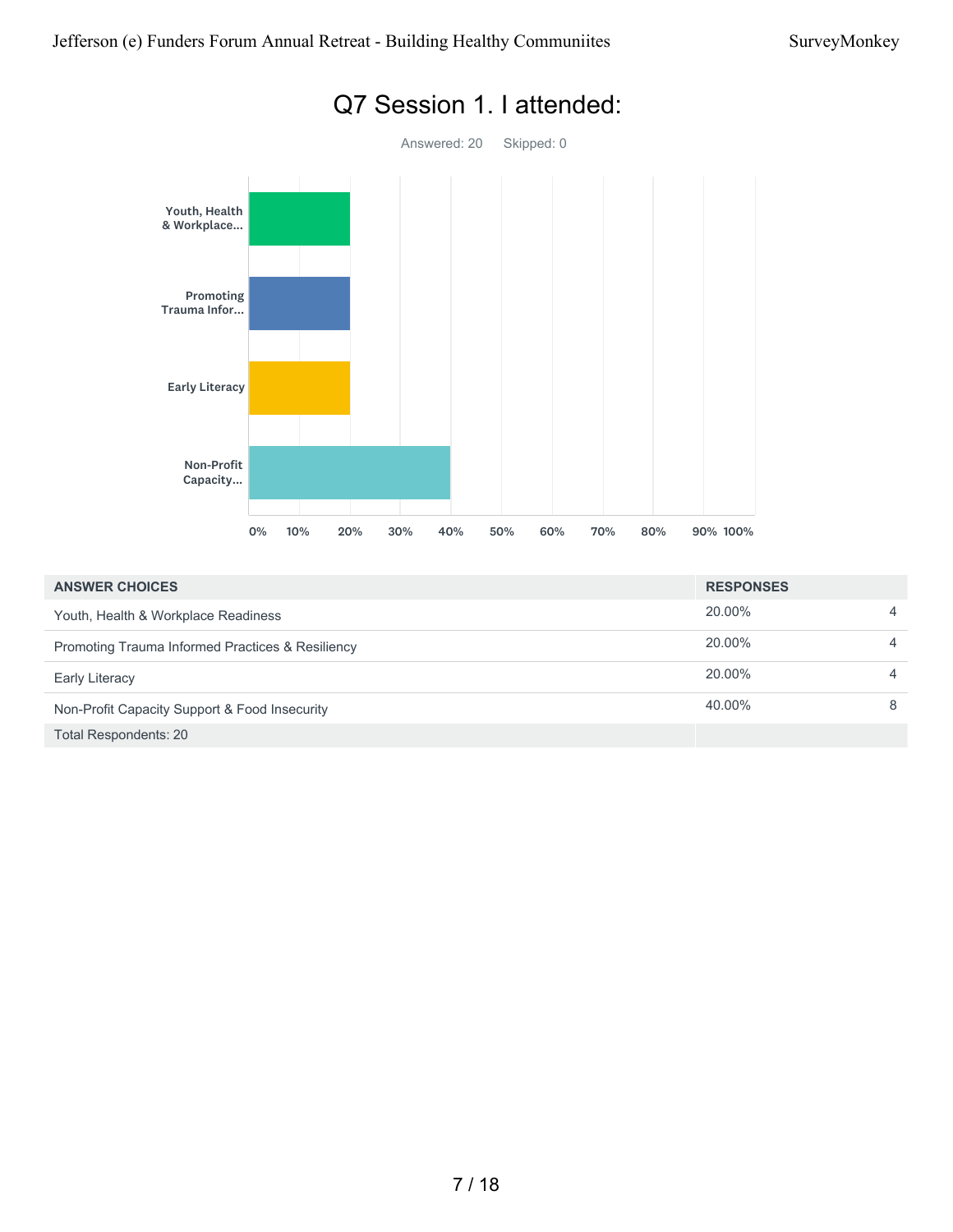

#### 20.00% 4 20.00% 4 20.00% 4 40.00% 8 Total Respondents: 20 **ANSWER CHOICES RESPONSES** Youth, Health & Workplace Readiness Promoting Trauma Informed Practices & Resiliency Early Literacy Non-Profit Capacity Support & Food Insecurity

#### Q7 Session 1. I attended: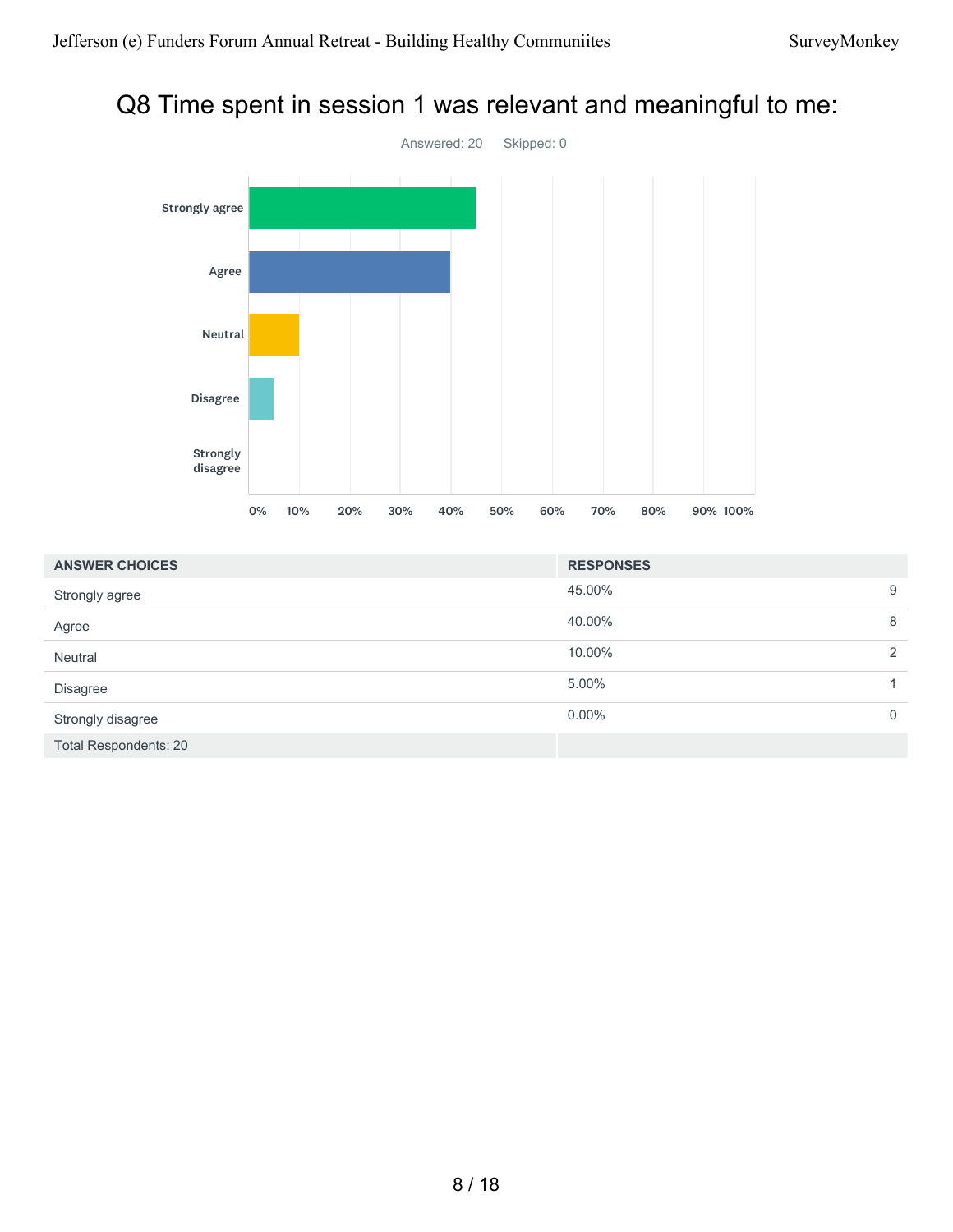### Q8 Time spent in session 1 was relevant and meaningful to me:



| <b>ANSWER CHOICES</b>        | <b>RESPONSES</b> |               |
|------------------------------|------------------|---------------|
| Strongly agree               | 45.00%           | 9             |
| Agree                        | 40.00%           | 8             |
| Neutral                      | 10.00%           | $\mathcal{P}$ |
| <b>Disagree</b>              | 5.00%            |               |
| Strongly disagree            | $0.00\%$         | 0             |
| <b>Total Respondents: 20</b> |                  |               |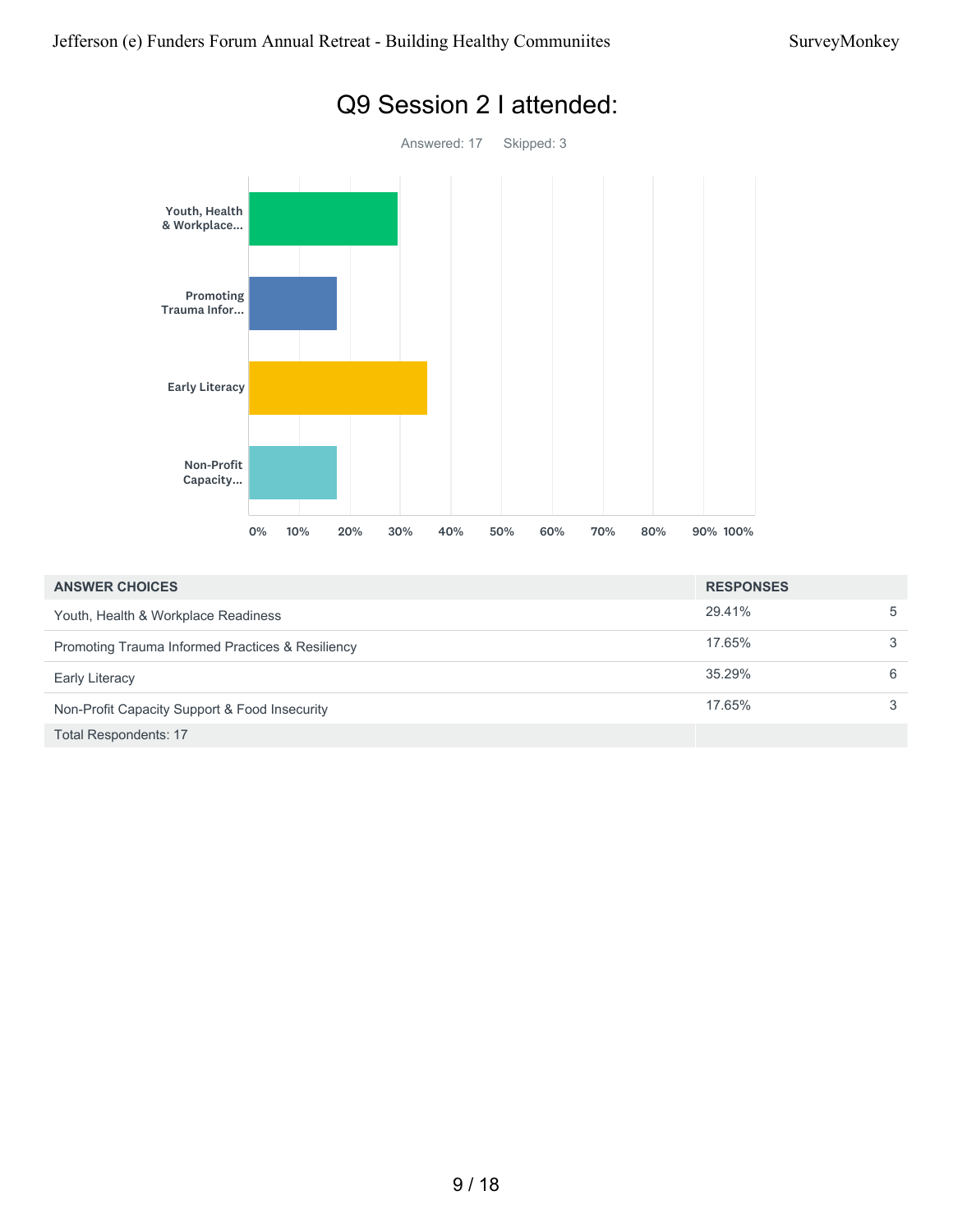

| <b>ANSWER CHOICES</b>                                       | <b>RESPONSES</b> |   |
|-------------------------------------------------------------|------------------|---|
| Youth, Health & Workplace Readiness                         | 29.41%           | 5 |
| <b>Promoting Trauma Informed Practices &amp; Resiliency</b> | 17.65%           | 3 |
| <b>Early Literacy</b>                                       | 35.29%           | 6 |
| Non-Profit Capacity Support & Food Insecurity               | 17.65%           | 3 |
| <b>Total Respondents: 17</b>                                |                  |   |

# Q9 Session 2 I attended: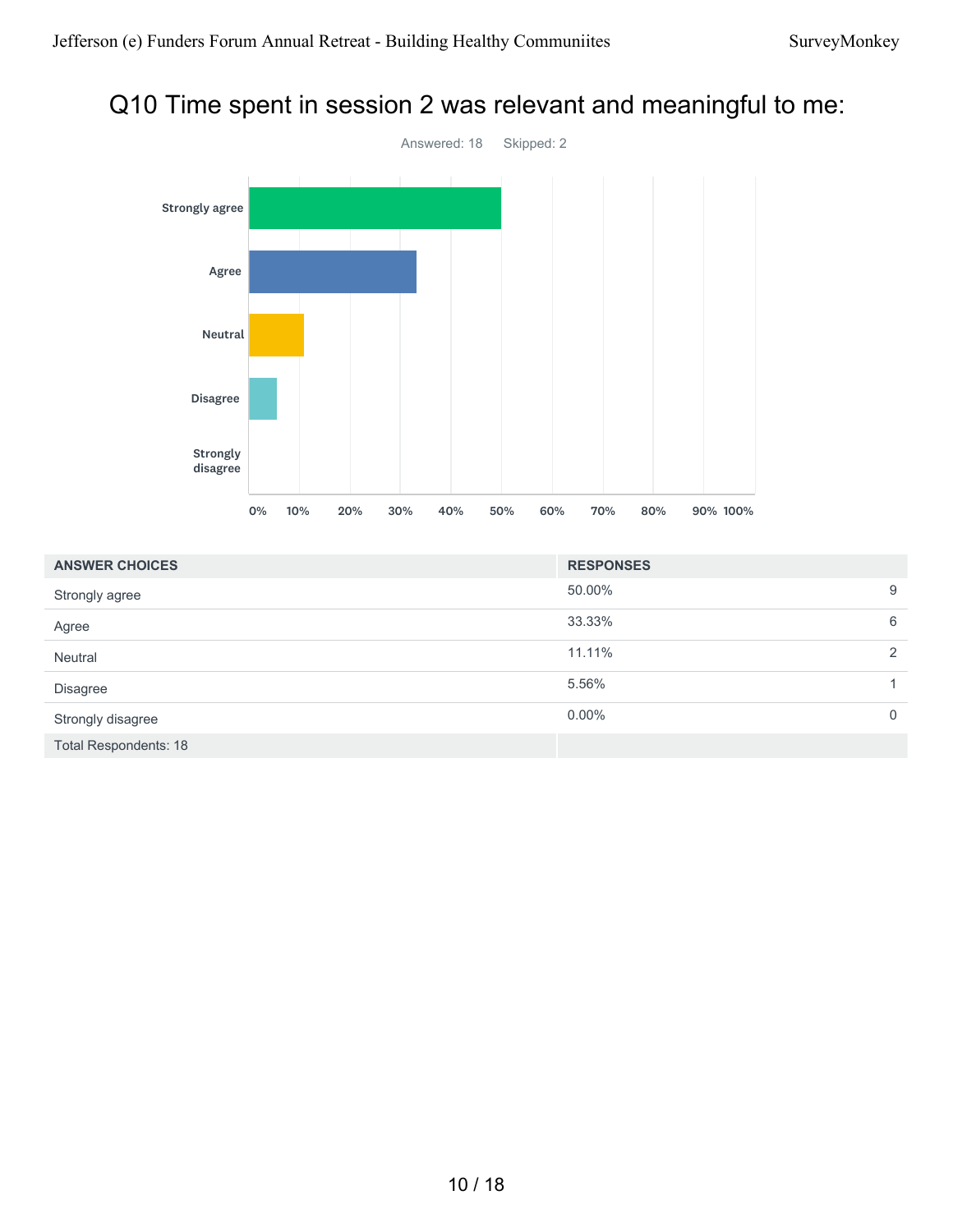#### Q10 Time spent in session 2 was relevant and meaningful to me:



| <b>ANSWER CHOICES</b>        | <b>RESPONSES</b> |                |
|------------------------------|------------------|----------------|
| Strongly agree               | 50.00%           | 9              |
| Agree                        | 33.33%           | 6              |
| Neutral                      | 11.11%           | 2              |
| <b>Disagree</b>              | 5.56%            |                |
| Strongly disagree            | $0.00\%$         | $\overline{0}$ |
| <b>Total Respondents: 18</b> |                  |                |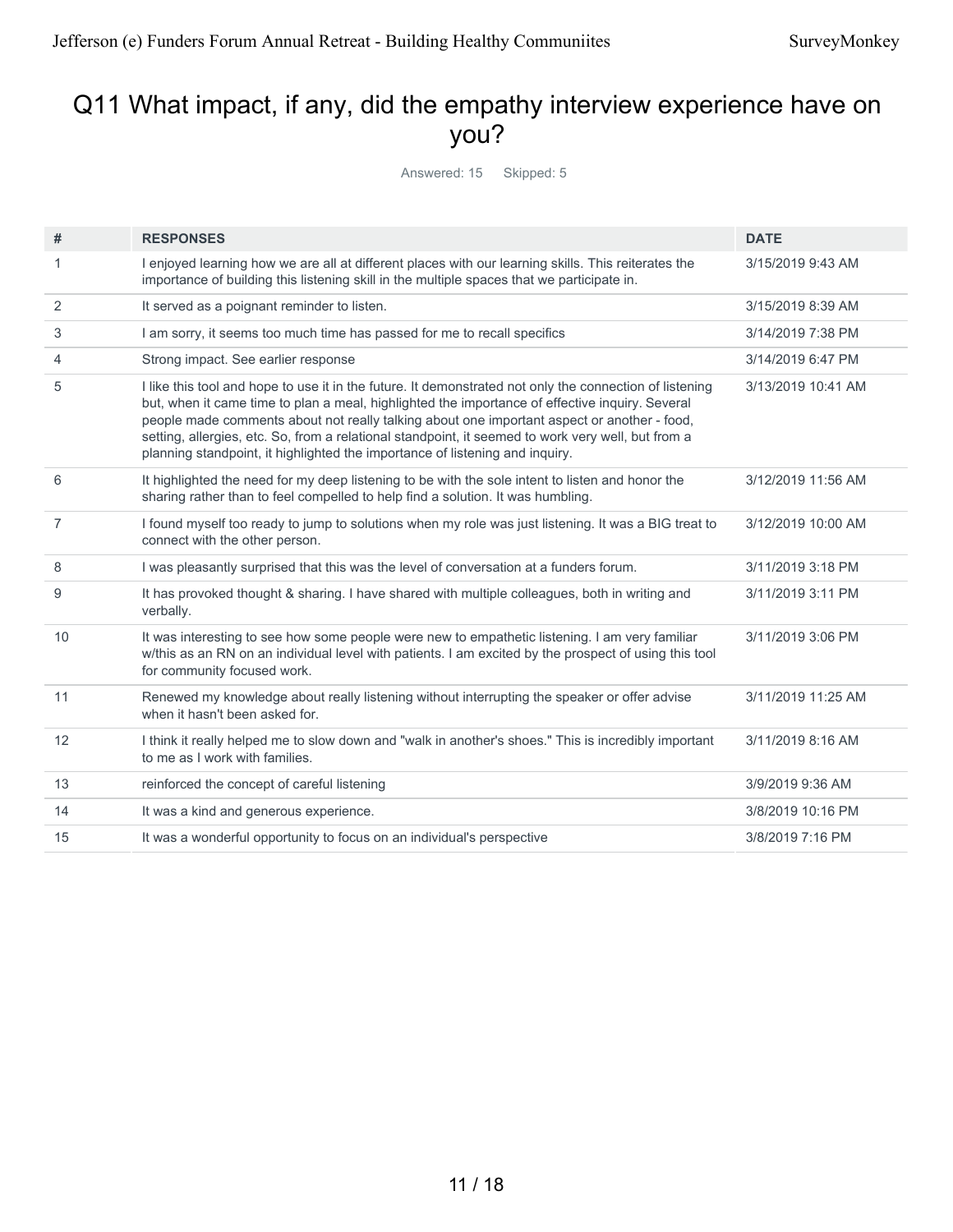### Q11 What impact, if any, did the empathy interview experience have on you?

Answered: 15 Skipped: 5

| #              | <b>RESPONSES</b>                                                                                                                                                                                                                                                                                                                                                                                                                                                                                | <b>DATE</b>        |
|----------------|-------------------------------------------------------------------------------------------------------------------------------------------------------------------------------------------------------------------------------------------------------------------------------------------------------------------------------------------------------------------------------------------------------------------------------------------------------------------------------------------------|--------------------|
| 1              | I enjoyed learning how we are all at different places with our learning skills. This reiterates the<br>importance of building this listening skill in the multiple spaces that we participate in.                                                                                                                                                                                                                                                                                               | 3/15/2019 9:43 AM  |
| 2              | It served as a poignant reminder to listen.                                                                                                                                                                                                                                                                                                                                                                                                                                                     | 3/15/2019 8:39 AM  |
| 3              | I am sorry, it seems too much time has passed for me to recall specifics                                                                                                                                                                                                                                                                                                                                                                                                                        | 3/14/2019 7:38 PM  |
| 4              | Strong impact. See earlier response                                                                                                                                                                                                                                                                                                                                                                                                                                                             | 3/14/2019 6:47 PM  |
| 5              | I like this tool and hope to use it in the future. It demonstrated not only the connection of listening<br>but, when it came time to plan a meal, highlighted the importance of effective inquiry. Several<br>people made comments about not really talking about one important aspect or another - food,<br>setting, allergies, etc. So, from a relational standpoint, it seemed to work very well, but from a<br>planning standpoint, it highlighted the importance of listening and inquiry. | 3/13/2019 10:41 AM |
| 6              | It highlighted the need for my deep listening to be with the sole intent to listen and honor the<br>sharing rather than to feel compelled to help find a solution. It was humbling.                                                                                                                                                                                                                                                                                                             | 3/12/2019 11:56 AM |
| $\overline{7}$ | I found myself too ready to jump to solutions when my role was just listening. It was a BIG treat to<br>connect with the other person.                                                                                                                                                                                                                                                                                                                                                          | 3/12/2019 10:00 AM |
| 8              | I was pleasantly surprised that this was the level of conversation at a funders forum.                                                                                                                                                                                                                                                                                                                                                                                                          | 3/11/2019 3:18 PM  |
| 9              | It has provoked thought & sharing. I have shared with multiple colleagues, both in writing and<br>verbally.                                                                                                                                                                                                                                                                                                                                                                                     | 3/11/2019 3:11 PM  |
| 10             | It was interesting to see how some people were new to empathetic listening. I am very familiar<br>w/this as an RN on an individual level with patients. I am excited by the prospect of using this tool<br>for community focused work.                                                                                                                                                                                                                                                          | 3/11/2019 3:06 PM  |
| 11             | Renewed my knowledge about really listening without interrupting the speaker or offer advise<br>when it hasn't been asked for.                                                                                                                                                                                                                                                                                                                                                                  | 3/11/2019 11:25 AM |
| 12             | I think it really helped me to slow down and "walk in another's shoes." This is incredibly important<br>to me as I work with families.                                                                                                                                                                                                                                                                                                                                                          | 3/11/2019 8:16 AM  |
| 13             | reinforced the concept of careful listening                                                                                                                                                                                                                                                                                                                                                                                                                                                     | 3/9/2019 9:36 AM   |
| 14             | It was a kind and generous experience.                                                                                                                                                                                                                                                                                                                                                                                                                                                          | 3/8/2019 10:16 PM  |
| 15             | It was a wonderful opportunity to focus on an individual's perspective                                                                                                                                                                                                                                                                                                                                                                                                                          | 3/8/2019 7:16 PM   |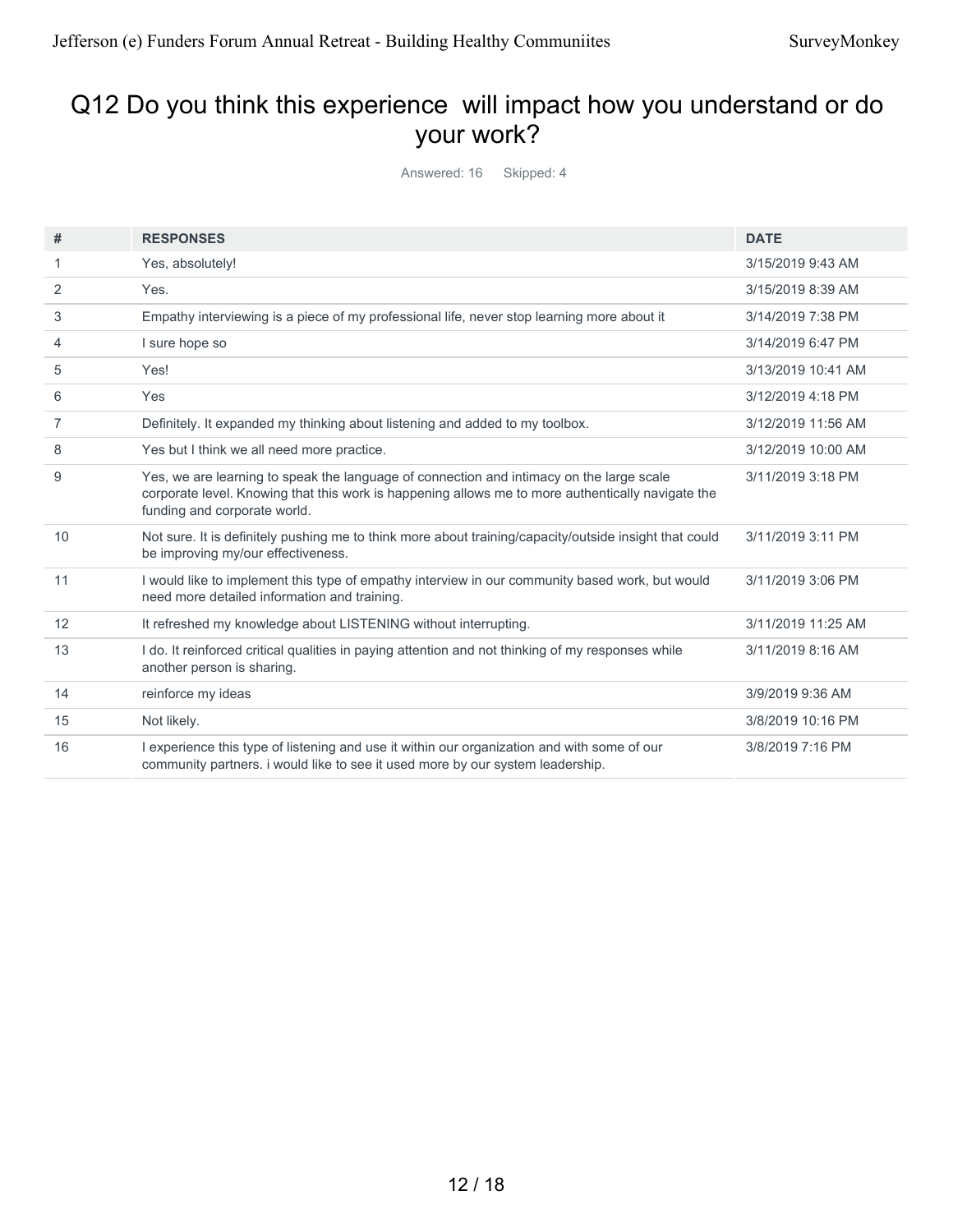# Q12 Do you think this experience will impact how you understand or do your work?

Answered: 16 Skipped: 4

| #  | <b>RESPONSES</b>                                                                                                                                                                                                              | <b>DATE</b>        |
|----|-------------------------------------------------------------------------------------------------------------------------------------------------------------------------------------------------------------------------------|--------------------|
| 1  | Yes, absolutely!                                                                                                                                                                                                              | 3/15/2019 9:43 AM  |
| 2  | Yes.                                                                                                                                                                                                                          | 3/15/2019 8:39 AM  |
| 3  | Empathy interviewing is a piece of my professional life, never stop learning more about it                                                                                                                                    | 3/14/2019 7:38 PM  |
| 4  | I sure hope so                                                                                                                                                                                                                | 3/14/2019 6:47 PM  |
| 5  | Yes!                                                                                                                                                                                                                          | 3/13/2019 10:41 AM |
| 6  | Yes                                                                                                                                                                                                                           | 3/12/2019 4:18 PM  |
| 7  | Definitely. It expanded my thinking about listening and added to my toolbox.                                                                                                                                                  | 3/12/2019 11:56 AM |
| 8  | Yes but I think we all need more practice.                                                                                                                                                                                    | 3/12/2019 10:00 AM |
| 9  | Yes, we are learning to speak the language of connection and intimacy on the large scale<br>corporate level. Knowing that this work is happening allows me to more authentically navigate the<br>funding and corporate world. | 3/11/2019 3:18 PM  |
| 10 | Not sure. It is definitely pushing me to think more about training/capacity/outside insight that could<br>be improving my/our effectiveness.                                                                                  | 3/11/2019 3:11 PM  |
| 11 | I would like to implement this type of empathy interview in our community based work, but would<br>need more detailed information and training.                                                                               | 3/11/2019 3:06 PM  |
| 12 | It refreshed my knowledge about LISTENING without interrupting.                                                                                                                                                               | 3/11/2019 11:25 AM |
| 13 | I do. It reinforced critical qualities in paying attention and not thinking of my responses while<br>another person is sharing.                                                                                               | 3/11/2019 8:16 AM  |
| 14 | reinforce my ideas                                                                                                                                                                                                            | 3/9/2019 9:36 AM   |
| 15 | Not likely.                                                                                                                                                                                                                   | 3/8/2019 10:16 PM  |
| 16 | I experience this type of listening and use it within our organization and with some of our<br>community partners. i would like to see it used more by our system leadership.                                                 | 3/8/2019 7:16 PM   |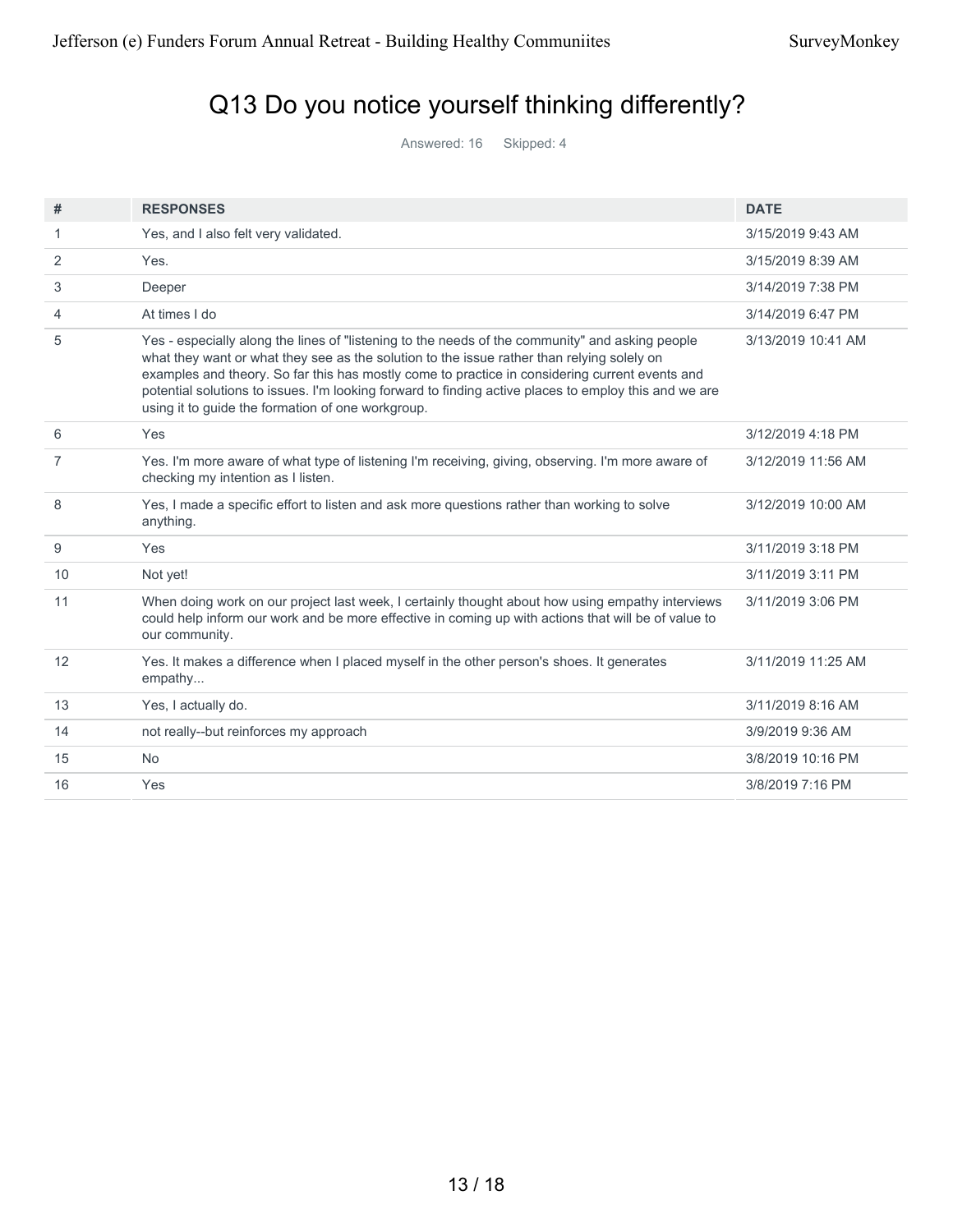# Q13 Do you notice yourself thinking differently?

Answered: 16 Skipped: 4

| #  | <b>RESPONSES</b>                                                                                                                                                                                                                                                                                                                                                                                                                                              | <b>DATE</b>        |
|----|---------------------------------------------------------------------------------------------------------------------------------------------------------------------------------------------------------------------------------------------------------------------------------------------------------------------------------------------------------------------------------------------------------------------------------------------------------------|--------------------|
| 1. | Yes, and I also felt very validated.                                                                                                                                                                                                                                                                                                                                                                                                                          | 3/15/2019 9:43 AM  |
| 2  | Yes.                                                                                                                                                                                                                                                                                                                                                                                                                                                          | 3/15/2019 8:39 AM  |
| 3  | Deeper                                                                                                                                                                                                                                                                                                                                                                                                                                                        | 3/14/2019 7:38 PM  |
| 4  | At times I do                                                                                                                                                                                                                                                                                                                                                                                                                                                 | 3/14/2019 6:47 PM  |
| 5  | Yes - especially along the lines of "listening to the needs of the community" and asking people<br>what they want or what they see as the solution to the issue rather than relying solely on<br>examples and theory. So far this has mostly come to practice in considering current events and<br>potential solutions to issues. I'm looking forward to finding active places to employ this and we are<br>using it to guide the formation of one workgroup. | 3/13/2019 10:41 AM |
| 6  | Yes                                                                                                                                                                                                                                                                                                                                                                                                                                                           | 3/12/2019 4:18 PM  |
| 7  | Yes. I'm more aware of what type of listening I'm receiving, giving, observing. I'm more aware of<br>checking my intention as I listen.                                                                                                                                                                                                                                                                                                                       | 3/12/2019 11:56 AM |
| 8  | Yes, I made a specific effort to listen and ask more questions rather than working to solve<br>anything.                                                                                                                                                                                                                                                                                                                                                      | 3/12/2019 10:00 AM |
| 9  | Yes                                                                                                                                                                                                                                                                                                                                                                                                                                                           | 3/11/2019 3:18 PM  |
| 10 | Not yet!                                                                                                                                                                                                                                                                                                                                                                                                                                                      | 3/11/2019 3:11 PM  |
| 11 | When doing work on our project last week, I certainly thought about how using empathy interviews<br>could help inform our work and be more effective in coming up with actions that will be of value to<br>our community.                                                                                                                                                                                                                                     | 3/11/2019 3:06 PM  |
| 12 | Yes. It makes a difference when I placed myself in the other person's shoes. It generates<br>empathy                                                                                                                                                                                                                                                                                                                                                          | 3/11/2019 11:25 AM |
| 13 | Yes, I actually do.                                                                                                                                                                                                                                                                                                                                                                                                                                           | 3/11/2019 8:16 AM  |
| 14 | not really--but reinforces my approach                                                                                                                                                                                                                                                                                                                                                                                                                        | 3/9/2019 9:36 AM   |
| 15 | <b>No</b>                                                                                                                                                                                                                                                                                                                                                                                                                                                     | 3/8/2019 10:16 PM  |
| 16 | Yes                                                                                                                                                                                                                                                                                                                                                                                                                                                           | 3/8/2019 7:16 PM   |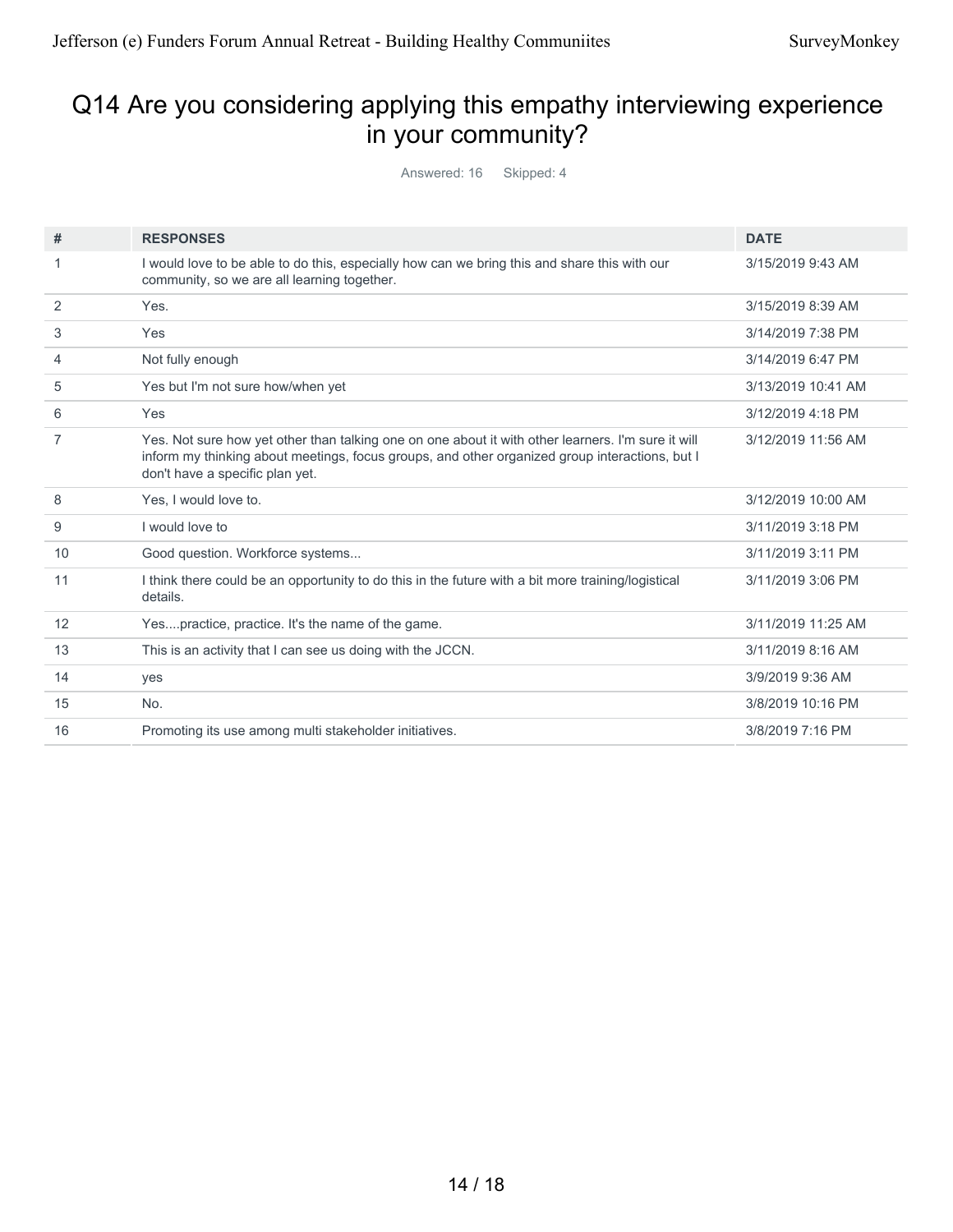# Q14 Are you considering applying this empathy interviewing experience in your community?

Answered: 16 Skipped: 4

| #  | <b>RESPONSES</b>                                                                                                                                                                                                                        | <b>DATE</b>        |
|----|-----------------------------------------------------------------------------------------------------------------------------------------------------------------------------------------------------------------------------------------|--------------------|
|    | I would love to be able to do this, especially how can we bring this and share this with our<br>community, so we are all learning together.                                                                                             | 3/15/2019 9:43 AM  |
| 2  | Yes.                                                                                                                                                                                                                                    | 3/15/2019 8:39 AM  |
| 3  | Yes                                                                                                                                                                                                                                     | 3/14/2019 7:38 PM  |
| 4  | Not fully enough                                                                                                                                                                                                                        | 3/14/2019 6:47 PM  |
| 5  | Yes but I'm not sure how/when yet                                                                                                                                                                                                       | 3/13/2019 10:41 AM |
| 6  | Yes                                                                                                                                                                                                                                     | 3/12/2019 4:18 PM  |
| 7  | Yes. Not sure how yet other than talking one on one about it with other learners. I'm sure it will<br>inform my thinking about meetings, focus groups, and other organized group interactions, but I<br>don't have a specific plan yet. | 3/12/2019 11:56 AM |
| 8  | Yes. I would love to.                                                                                                                                                                                                                   | 3/12/2019 10:00 AM |
| 9  | I would love to                                                                                                                                                                                                                         | 3/11/2019 3:18 PM  |
| 10 | Good question. Workforce systems                                                                                                                                                                                                        | 3/11/2019 3:11 PM  |
| 11 | I think there could be an opportunity to do this in the future with a bit more training/logistical<br>details.                                                                                                                          | 3/11/2019 3:06 PM  |
| 12 | Yespractice, practice. It's the name of the game.                                                                                                                                                                                       | 3/11/2019 11:25 AM |
| 13 | This is an activity that I can see us doing with the JCCN.                                                                                                                                                                              | 3/11/2019 8:16 AM  |
| 14 | yes                                                                                                                                                                                                                                     | 3/9/2019 9:36 AM   |
| 15 | No.                                                                                                                                                                                                                                     | 3/8/2019 10:16 PM  |
| 16 | Promoting its use among multi stakeholder initiatives.                                                                                                                                                                                  | 3/8/2019 7:16 PM   |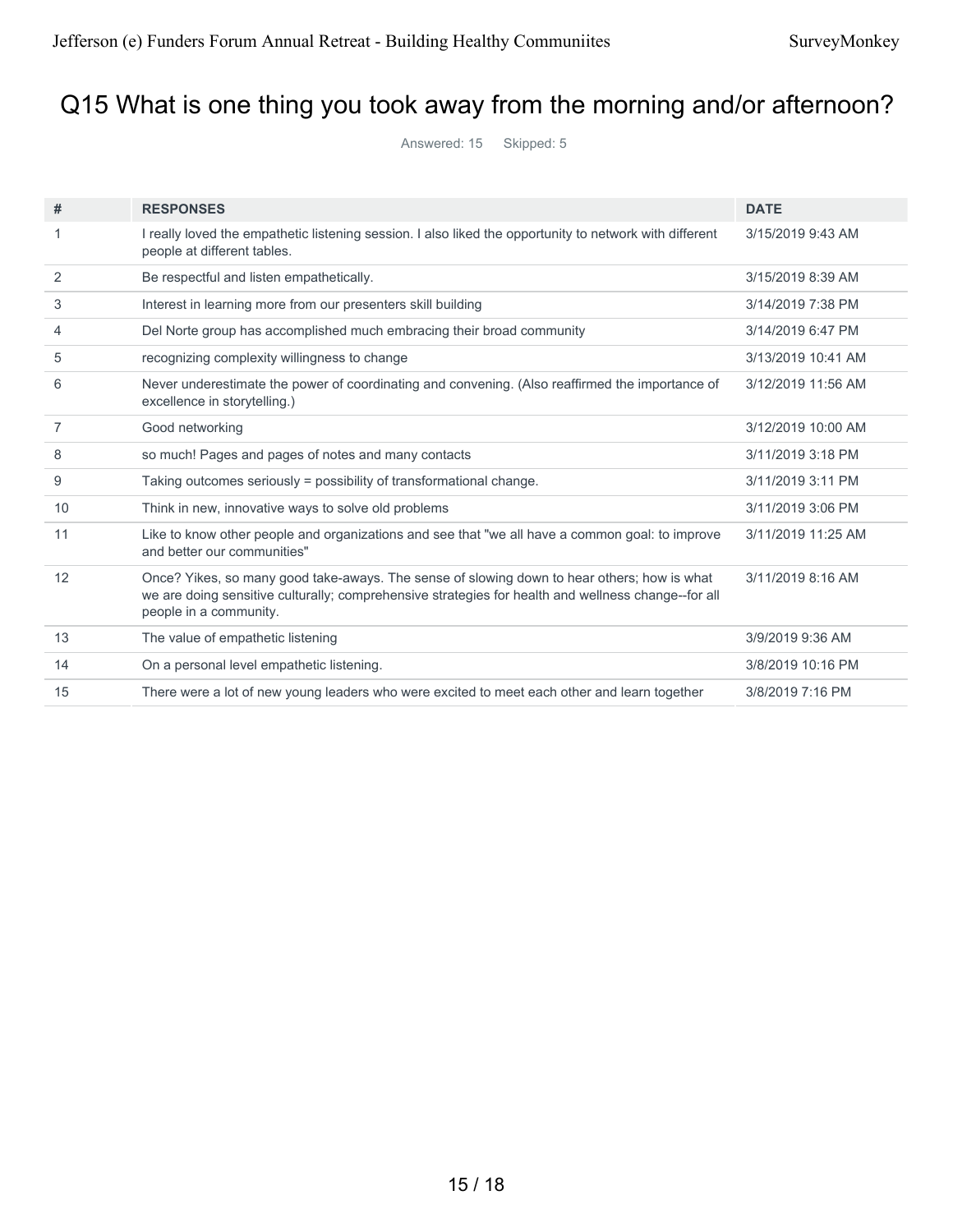# Q15 What is one thing you took away from the morning and/or afternoon?

Answered: 15 Skipped: 5

| #  | <b>RESPONSES</b>                                                                                                                                                                                                             | <b>DATE</b>        |
|----|------------------------------------------------------------------------------------------------------------------------------------------------------------------------------------------------------------------------------|--------------------|
|    |                                                                                                                                                                                                                              |                    |
| 1  | I really loved the empathetic listening session. I also liked the opportunity to network with different<br>people at different tables.                                                                                       | 3/15/2019 9:43 AM  |
| 2  | Be respectful and listen empathetically.                                                                                                                                                                                     | 3/15/2019 8:39 AM  |
| 3  | Interest in learning more from our presenters skill building                                                                                                                                                                 | 3/14/2019 7:38 PM  |
| 4  | Del Norte group has accomplished much embracing their broad community                                                                                                                                                        | 3/14/2019 6:47 PM  |
| 5  | recognizing complexity willingness to change                                                                                                                                                                                 | 3/13/2019 10:41 AM |
| 6  | Never underestimate the power of coordinating and convening. (Also reaffirmed the importance of<br>excellence in storytelling.)                                                                                              | 3/12/2019 11:56 AM |
| 7  | Good networking                                                                                                                                                                                                              | 3/12/2019 10:00 AM |
| 8  | so much! Pages and pages of notes and many contacts                                                                                                                                                                          | 3/11/2019 3:18 PM  |
| 9  | Taking outcomes seriously = possibility of transformational change.                                                                                                                                                          | 3/11/2019 3:11 PM  |
| 10 | Think in new, innovative ways to solve old problems                                                                                                                                                                          | 3/11/2019 3:06 PM  |
| 11 | Like to know other people and organizations and see that "we all have a common goal: to improve<br>and better our communities"                                                                                               | 3/11/2019 11:25 AM |
| 12 | Once? Yikes, so many good take-aways. The sense of slowing down to hear others; how is what<br>we are doing sensitive culturally; comprehensive strategies for health and wellness change--for all<br>people in a community. | 3/11/2019 8:16 AM  |
| 13 | The value of empathetic listening                                                                                                                                                                                            | 3/9/2019 9:36 AM   |
| 14 | On a personal level empathetic listening.                                                                                                                                                                                    | 3/8/2019 10:16 PM  |
| 15 | There were a lot of new young leaders who were excited to meet each other and learn together                                                                                                                                 | 3/8/2019 7:16 PM   |
|    |                                                                                                                                                                                                                              |                    |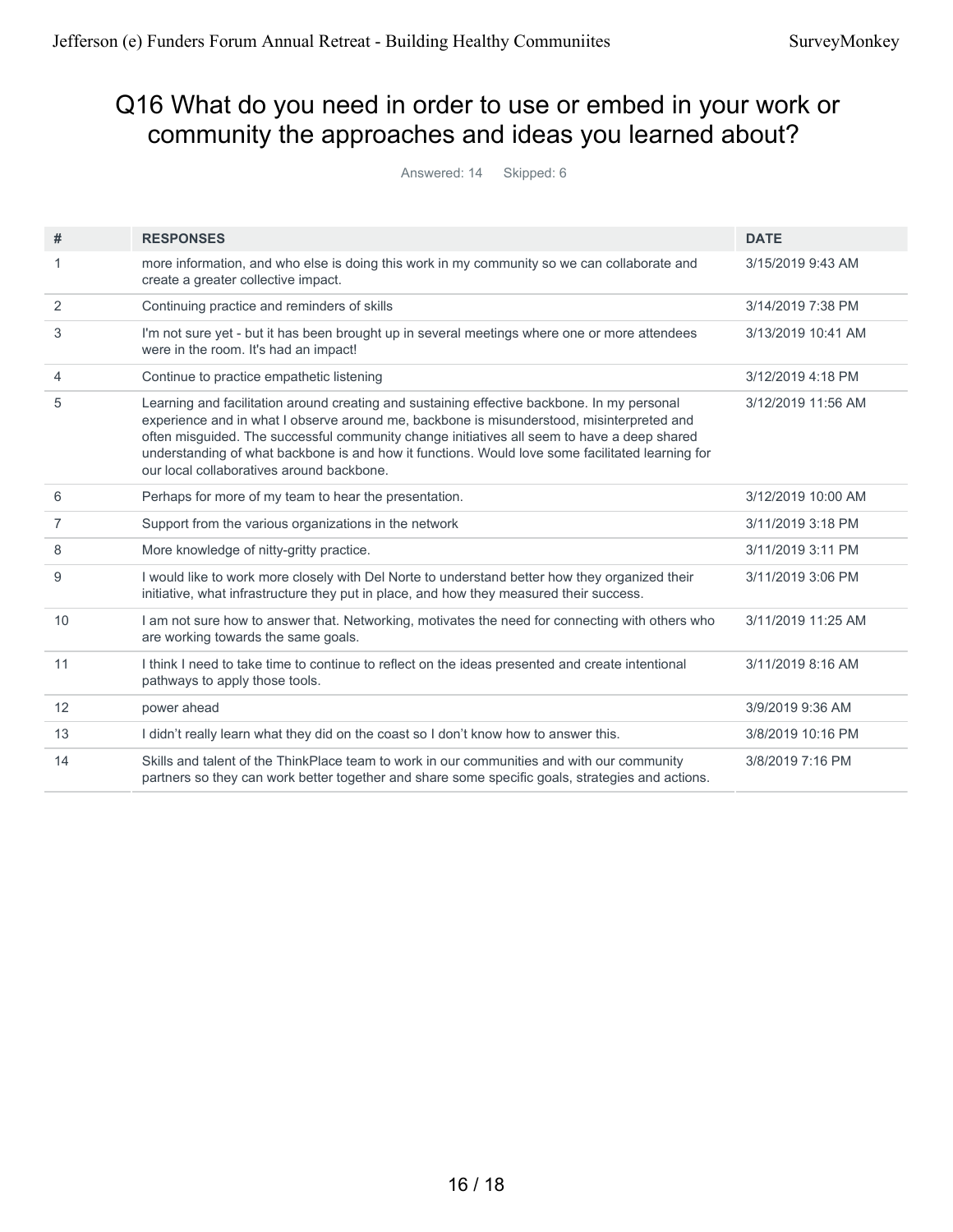# Q16 What do you need in order to use or embed in your work or community the approaches and ideas you learned about?

Answered: 14 Skipped: 6

| #              | <b>RESPONSES</b>                                                                                                                                                                                                                                                                                                                                                                                                                         | <b>DATE</b>        |
|----------------|------------------------------------------------------------------------------------------------------------------------------------------------------------------------------------------------------------------------------------------------------------------------------------------------------------------------------------------------------------------------------------------------------------------------------------------|--------------------|
|                | more information, and who else is doing this work in my community so we can collaborate and<br>create a greater collective impact.                                                                                                                                                                                                                                                                                                       | 3/15/2019 9:43 AM  |
| 2              | Continuing practice and reminders of skills                                                                                                                                                                                                                                                                                                                                                                                              | 3/14/2019 7:38 PM  |
| 3              | I'm not sure yet - but it has been brought up in several meetings where one or more attendees<br>were in the room. It's had an impact!                                                                                                                                                                                                                                                                                                   | 3/13/2019 10:41 AM |
| $\overline{4}$ | Continue to practice empathetic listening                                                                                                                                                                                                                                                                                                                                                                                                | 3/12/2019 4:18 PM  |
| 5              | Learning and facilitation around creating and sustaining effective backbone. In my personal<br>experience and in what I observe around me, backbone is misunderstood, misinterpreted and<br>often misguided. The successful community change initiatives all seem to have a deep shared<br>understanding of what backbone is and how it functions. Would love some facilitated learning for<br>our local collaboratives around backbone. | 3/12/2019 11:56 AM |
| 6              | Perhaps for more of my team to hear the presentation.                                                                                                                                                                                                                                                                                                                                                                                    | 3/12/2019 10:00 AM |
| $\overline{7}$ | Support from the various organizations in the network                                                                                                                                                                                                                                                                                                                                                                                    | 3/11/2019 3:18 PM  |
| 8              | More knowledge of nitty-gritty practice.                                                                                                                                                                                                                                                                                                                                                                                                 | 3/11/2019 3:11 PM  |
| 9              | I would like to work more closely with Del Norte to understand better how they organized their<br>initiative, what infrastructure they put in place, and how they measured their success.                                                                                                                                                                                                                                                | 3/11/2019 3:06 PM  |
| 10             | I am not sure how to answer that. Networking, motivates the need for connecting with others who<br>are working towards the same goals.                                                                                                                                                                                                                                                                                                   | 3/11/2019 11:25 AM |
| 11             | I think I need to take time to continue to reflect on the ideas presented and create intentional<br>pathways to apply those tools.                                                                                                                                                                                                                                                                                                       | 3/11/2019 8:16 AM  |
| 12             | power ahead                                                                                                                                                                                                                                                                                                                                                                                                                              | 3/9/2019 9:36 AM   |
| 13             | I didn't really learn what they did on the coast so I don't know how to answer this.                                                                                                                                                                                                                                                                                                                                                     | 3/8/2019 10:16 PM  |
| 14             | Skills and talent of the ThinkPlace team to work in our communities and with our community<br>partners so they can work better together and share some specific goals, strategies and actions.                                                                                                                                                                                                                                           | 3/8/2019 7:16 PM   |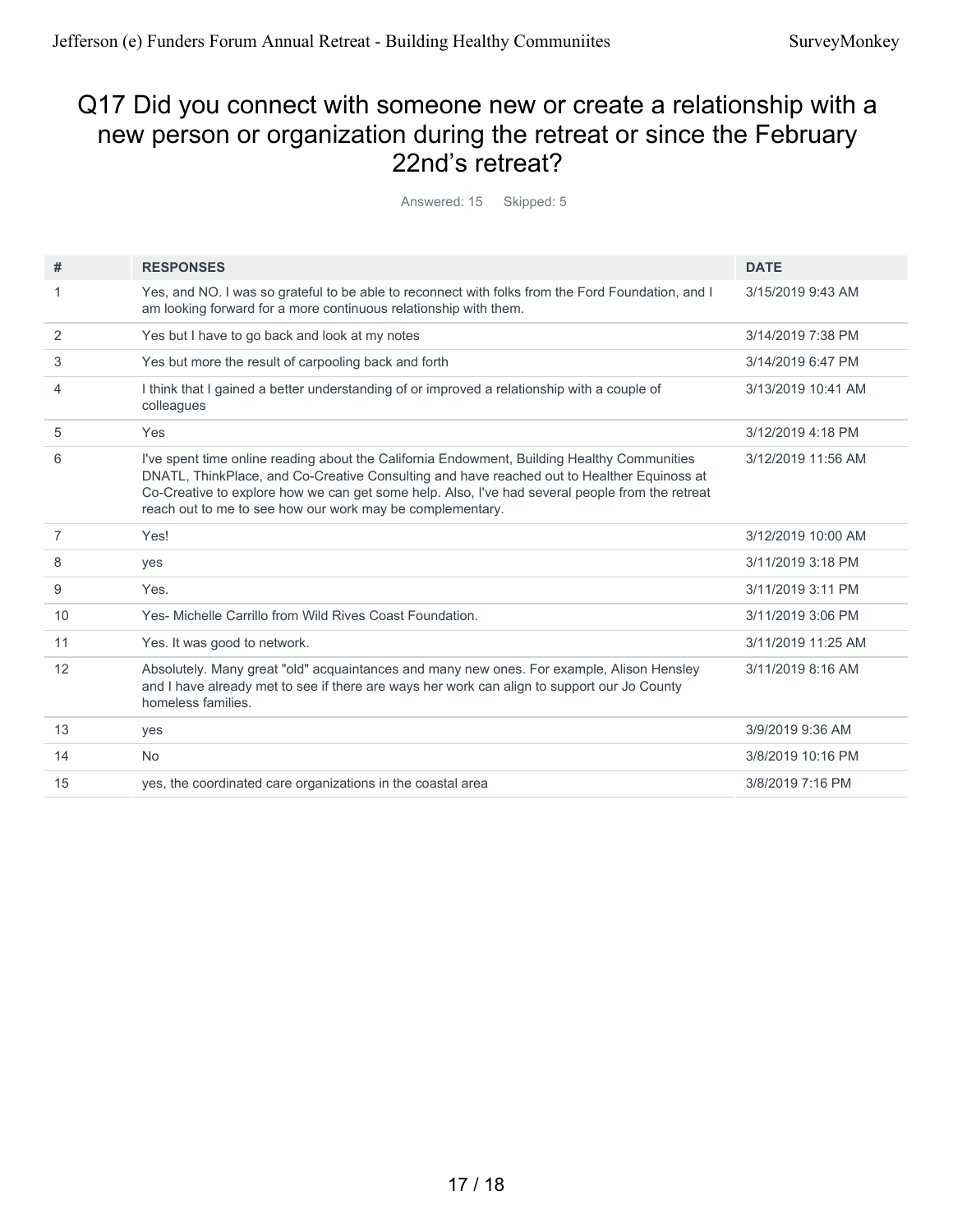### Q17 Did you connect with someone new or create a relationship with a new person or organization during the retreat or since the February 22nd's retreat?

Answered: 15 Skipped: 5

| #  | <b>RESPONSES</b>                                                                                                                                                                                                                                                                                                                                          | <b>DATE</b>        |
|----|-----------------------------------------------------------------------------------------------------------------------------------------------------------------------------------------------------------------------------------------------------------------------------------------------------------------------------------------------------------|--------------------|
|    | Yes, and NO. I was so grateful to be able to reconnect with folks from the Ford Foundation, and I<br>am looking forward for a more continuous relationship with them.                                                                                                                                                                                     | 3/15/2019 9:43 AM  |
| 2  | Yes but I have to go back and look at my notes                                                                                                                                                                                                                                                                                                            | 3/14/2019 7:38 PM  |
| 3  | Yes but more the result of carpooling back and forth                                                                                                                                                                                                                                                                                                      | 3/14/2019 6:47 PM  |
| 4  | I think that I gained a better understanding of or improved a relationship with a couple of<br>colleagues                                                                                                                                                                                                                                                 | 3/13/2019 10:41 AM |
| 5  | Yes                                                                                                                                                                                                                                                                                                                                                       | 3/12/2019 4:18 PM  |
| 6  | I've spent time online reading about the California Endowment, Building Healthy Communities<br>DNATL, ThinkPlace, and Co-Creative Consulting and have reached out to Healther Equinoss at<br>Co-Creative to explore how we can get some help. Also, I've had several people from the retreat<br>reach out to me to see how our work may be complementary. | 3/12/2019 11:56 AM |
| 7  | Yes!                                                                                                                                                                                                                                                                                                                                                      | 3/12/2019 10:00 AM |
| 8  | yes                                                                                                                                                                                                                                                                                                                                                       | 3/11/2019 3:18 PM  |
| 9  | Yes.                                                                                                                                                                                                                                                                                                                                                      | 3/11/2019 3:11 PM  |
| 10 | Yes- Michelle Carrillo from Wild Rives Coast Foundation.                                                                                                                                                                                                                                                                                                  | 3/11/2019 3:06 PM  |
| 11 | Yes. It was good to network.                                                                                                                                                                                                                                                                                                                              | 3/11/2019 11:25 AM |
| 12 | Absolutely. Many great "old" acquaintances and many new ones. For example, Alison Hensley<br>and I have already met to see if there are ways her work can align to support our Jo County<br>homeless families.                                                                                                                                            | 3/11/2019 8:16 AM  |
| 13 | yes                                                                                                                                                                                                                                                                                                                                                       | 3/9/2019 9:36 AM   |
| 14 | <b>No</b>                                                                                                                                                                                                                                                                                                                                                 | 3/8/2019 10:16 PM  |
| 15 | yes, the coordinated care organizations in the coastal area                                                                                                                                                                                                                                                                                               | 3/8/2019 7:16 PM   |